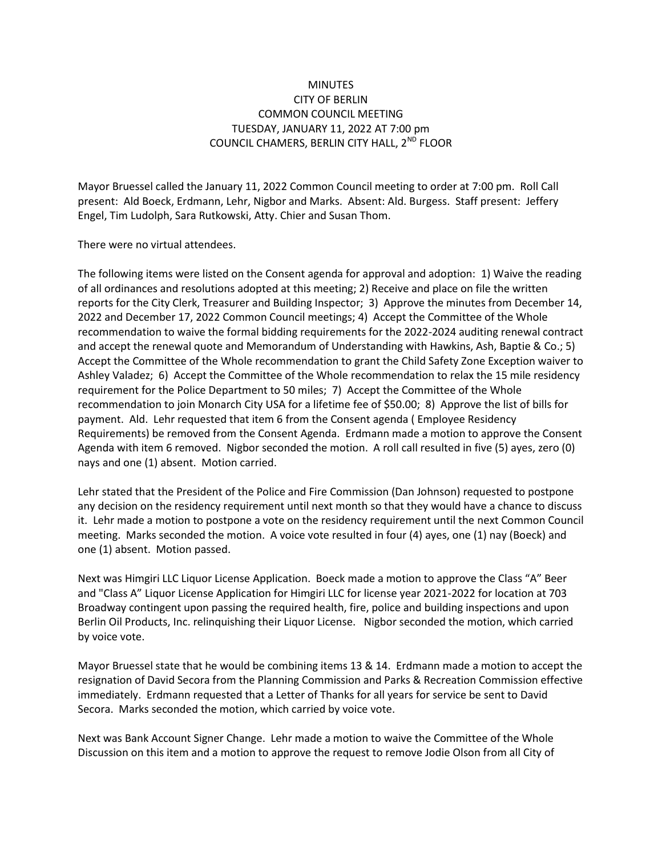## **MINUTES** CITY OF BERLIN COMMON COUNCIL MEETING TUESDAY, JANUARY 11, 2022 AT 7:00 pm COUNCIL CHAMERS, BERLIN CITY HALL, 2<sup>ND</sup> FLOOR

Mayor Bruessel called the January 11, 2022 Common Council meeting to order at 7:00 pm. Roll Call present: Ald Boeck, Erdmann, Lehr, Nigbor and Marks. Absent: Ald. Burgess. Staff present: Jeffery Engel, Tim Ludolph, Sara Rutkowski, Atty. Chier and Susan Thom.

There were no virtual attendees.

The following items were listed on the Consent agenda for approval and adoption: 1) Waive the reading of all ordinances and resolutions adopted at this meeting; 2) Receive and place on file the written reports for the City Clerk, Treasurer and Building Inspector; 3) Approve the minutes from December 14, 2022 and December 17, 2022 Common Council meetings; 4) Accept the Committee of the Whole recommendation to waive the formal bidding requirements for the 2022-2024 auditing renewal contract and accept the renewal quote and Memorandum of Understanding with Hawkins, Ash, Baptie & Co.; 5) Accept the Committee of the Whole recommendation to grant the Child Safety Zone Exception waiver to Ashley Valadez; 6) Accept the Committee of the Whole recommendation to relax the 15 mile residency requirement for the Police Department to 50 miles; 7) Accept the Committee of the Whole recommendation to join Monarch City USA for a lifetime fee of \$50.00; 8) Approve the list of bills for payment. Ald. Lehr requested that item 6 from the Consent agenda ( Employee Residency Requirements) be removed from the Consent Agenda. Erdmann made a motion to approve the Consent Agenda with item 6 removed. Nigbor seconded the motion. A roll call resulted in five (5) ayes, zero (0) nays and one (1) absent. Motion carried.

Lehr stated that the President of the Police and Fire Commission (Dan Johnson) requested to postpone any decision on the residency requirement until next month so that they would have a chance to discuss it. Lehr made a motion to postpone a vote on the residency requirement until the next Common Council meeting. Marks seconded the motion. A voice vote resulted in four (4) ayes, one (1) nay (Boeck) and one (1) absent. Motion passed.

Next was Himgiri LLC Liquor License Application. Boeck made a motion to approve the Class "A" Beer and "Class A" Liquor License Application for Himgiri LLC for license year 2021-2022 for location at 703 Broadway contingent upon passing the required health, fire, police and building inspections and upon Berlin Oil Products, Inc. relinquishing their Liquor License. Nigbor seconded the motion, which carried by voice vote.

Mayor Bruessel state that he would be combining items 13 & 14. Erdmann made a motion to accept the resignation of David Secora from the Planning Commission and Parks & Recreation Commission effective immediately. Erdmann requested that a Letter of Thanks for all years for service be sent to David Secora. Marks seconded the motion, which carried by voice vote.

Next was Bank Account Signer Change. Lehr made a motion to waive the Committee of the Whole Discussion on this item and a motion to approve the request to remove Jodie Olson from all City of